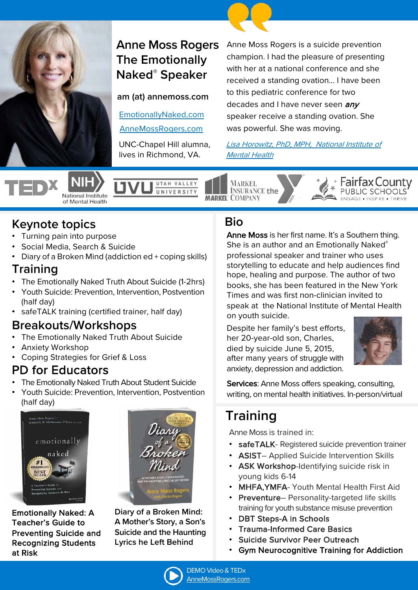

# **Anne Moss Rogers The Emotionally Naked® Speaker**

**am (at) annemoss.com**

[EmotionallyNaked](https://annemoss.com/).com

[AnneMossRogers](https://annemossrogers.com/).com

UNC-Chapel Hill alumna, lives in Richmond, VA.

UTAH VALLEY

UNIVERSITY

Anne Moss Rogers is a suicide prevention champion. I had the pleasure of presenting with her at a national conference and she received a standing ovation... I have been to this pediatric conference for two decades and I have never seen *any* speaker receive a standing ovation. She was powerful. She was moving.

[Lisa Horowitz, PhD, MPH, National Institute of](https://youtu.be/0oYtbcKfw-c)  Mental Health

National Institute of Mental Health

**MARKEL INSURANCE the MARKEL COMPANY** 

## **Keynote topics**

- Turning pain into purpose
- Social Media, Search & Suicide
- Diary of a Broken Mind (addiction ed + coping skills)

#### **Training**

- The Emotionally Naked Truth About Suicide (1-2hrs)
- Youth Suicide: Prevention, Intervention, Postvention (half day)
- safeTALK training (certified trainer, half day)

### **Breakouts/Workshops**

- The Emotionally Naked Truth About Suicide
- Anxiety Workshop
- Coping Strategies for Grief & Loss

## PD for Educators

- The Emotionally Naked Truth About Student Suicide
- Youth Suicide: Prevention, Intervention, Postvention (half day)



Emotionally Naked: A Teacher's Guide to Preventing Suicide and Recognizing Students at Risk



**Diary of a Broken Mind: A Mother's Story, a Son's Suicide and the Haunting Lyrics he Left Behind**

### **Bio**

Anne Moss is her first name. It's a Southern thing. She is an author and an Emotionally Naked® professional speaker and trainer who uses storytelling to educate and help audiences find hope, healing and purpose. The author of two books, she has been featured in the New York Times and was first non-clinician invited to speak at the National Institute of Mental Health on youth suicide.

Despite her family's best efforts, her 20-year-old son, Charles, died by suicide June 5, 2015, after many years of struggle with anxiety, depression and addiction.



Fairfax County

Services: Anne Moss offers speaking, consulting, writing, on mental health initiatives. In-person/virtual

# **Training**

Anne Moss is trained in:

- safeTALK- Registered suicide prevention trainer
- ASIST– Applied Suicide Intervention Skills
- ASK Workshop-Identifying suicide risk in young kids 6-14
- MHFA,YMFA- Youth Mental Health First Aid
- Preventure– Personality-targeted life skills training for youth substance misuse prevention
- **DBT Steps-A in Schools**
- Trauma-Informed Care Basics
- Suicide Survivor Peer Outreach
- Gym Neurocognitive Training for Addiction